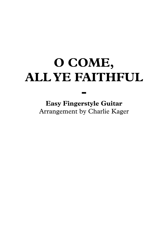## **O COME, ALL YE FAITHFUL**

**Easy Fingerstyle Guitar** Arrangement by Charlie Kager

**-**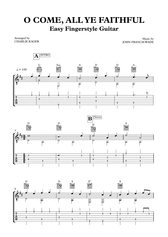## **O COME, ALL YE FAITHFUL Easy Fingerstyle Guitar**

Arranged by CHARLIE KAGER

Music by JOHN FRANCIS WADE